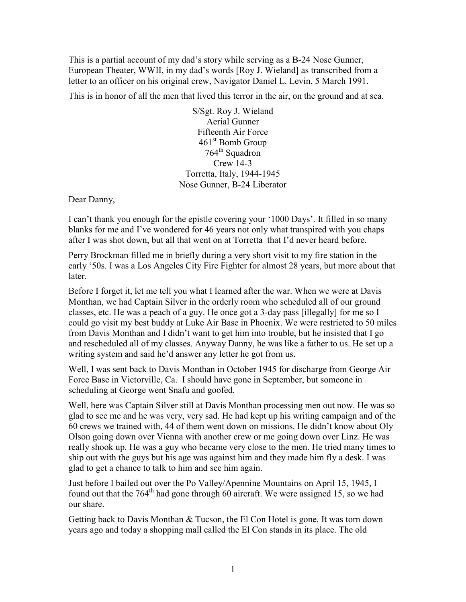This is a partial account of my dad's story while serving as a B-24 Nose Gunner, European Theater, WWII, in my dad's words [Roy J. Wieland] as transcribed from a letter to an officer on his original crew, Navigator Daniel L. Levin, 5 March 1991.

This is in honor of all the men that lived this terror in the air, on the ground and at sea.

S/Sgt. Roy J. Wieland Aerial Gunner Fifteenth Air Force 461<sup>st</sup> Bomb Group 764<sup>th</sup> Squadron Crew 14-3 Torretta, Italy, 1944-1945 Nose Gunner, B-24 Liberator

Dear Danny,

I can't thank you enough for the epistle covering your '1000 Days'. It filled in so many blanks for me and I've wondered for 46 years not only what transpired with you chaps after I was shot down, but all that went on at Torretta that I'd never heard before.

Perry Brockman filled me in briefly during a very short visit to my fire station in the early '50s. I was a Los Angeles City Fire Fighter for almost 28 years, but more about that later.

Before I forget it, let me tell you what I learned after the war. When we were at Davis Monthan, we had Captain Silver in the orderly room who scheduled all of our ground classes, etc. He was a peach of a guy. He once got a 3-day pass [illegally] for me so I could go visit my best buddy at Luke Air Base in Phoenix. We were restricted to 50 miles from Davis Monthan and I didn't want to get him into trouble, but he insisted that I go and rescheduled all of my classes. Anyway Danny, he was like a father to us. He set up a writing system and said he'd answer any letter he got from us.

Well, I was sent back to Davis Monthan in October 1945 for discharge from George Air Force Base in Victorville, Ca. I should have gone in September, but someone in scheduling at George went Snafu and goofed.

Well, here was Captain Silver still at Davis Monthan processing men out now. He was so glad to see me and he was very, very sad. He had kept up his writing campaign and of the 60 crews we trained with, 44 of them went down on missions. He didn't know about Oly Olson going down over Vienna with another crew or me going down over Linz. He was really shook up. He was a guy who became very close to the men. He tried many times to ship out with the guys but his age was against him and they made him fly a desk. I was glad to get a chance to talk to him and see him again.

Just before I bailed out over the Po Valley/Apennine Mountains on April 15, 1945, I found out that the  $764<sup>th</sup>$  had gone through 60 aircraft. We were assigned 15, so we had our share.

Getting back to Davis Monthan & Tucson, the El Con Hotel is gone. It was torn down years ago and today a shopping mall called the El Con stands in its place. The old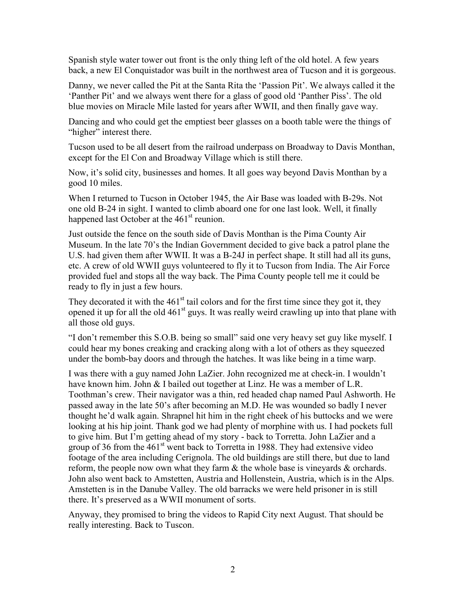Spanish style water tower out front is the only thing left of the old hotel. A few years back, a new El Conquistador was built in the northwest area of Tucson and it is gorgeous.

Danny, we never called the Pit at the Santa Rita the 'Passion Pit'. We always called it the 'Panther Pit' and we always went there for a glass of good old 'Panther Piss'. The old blue movies on Miracle Mile lasted for years after WWII, and then finally gave way.

Dancing and who could get the emptiest beer glasses on a booth table were the things of "higher" interest there.

Tucson used to be all desert from the railroad underpass on Broadway to Davis Monthan, except for the El Con and Broadway Village which is still there.

Now, it's solid city, businesses and homes. It all goes way beyond Davis Monthan by a good 10 miles.

When I returned to Tucson in October 1945, the Air Base was loaded with B-29s. Not one old B-24 in sight. I wanted to climb aboard one for one last look. Well, it finally happened last October at the  $461<sup>st</sup>$  reunion.

Just outside the fence on the south side of Davis Monthan is the Pima County Air Museum. In the late 70's the Indian Government decided to give back a patrol plane the U.S. had given them after WWII. It was a B-24J in perfect shape. It still had all its guns, etc. A crew of old WWII guys volunteered to fly it to Tucson from India. The Air Force provided fuel and stops all the way back. The Pima County people tell me it could be ready to fly in just a few hours.

They decorated it with the  $461<sup>st</sup>$  tail colors and for the first time since they got it, they opened it up for all the old  $461<sup>st</sup>$  guys. It was really weird crawling up into that plane with all those old guys.

"I don't remember this S.O.B. being so small" said one very heavy set guy like myself. I could hear my bones creaking and cracking along with a lot of others as they squeezed under the bomb-bay doors and through the hatches. It was like being in a time warp.

I was there with a guy named John LaZier. John recognized me at check-in. I wouldn't have known him. John & I bailed out together at Linz. He was a member of L.R. Toothman's crew. Their navigator was a thin, red headed chap named Paul Ashworth. He passed away in the late 50's after becoming an M.D. He was wounded so badly I never thought he'd walk again. Shrapnel hit him in the right cheek of his buttocks and we were looking at his hip joint. Thank god we had plenty of morphine with us. I had pockets full to give him. But I'm getting ahead of my story - back to Torretta. John LaZier and a group of 36 from the  $461<sup>st</sup>$  went back to Torretta in 1988. They had extensive video footage of the area including Cerignola. The old buildings are still there, but due to land reform, the people now own what they farm  $\&$  the whole base is vineyards  $\&$  orchards. John also went back to Amstetten, Austria and Hollenstein, Austria, which is in the Alps. Amstetten is in the Danube Valley. The old barracks we were held prisoner in is still there. It's preserved as a WWII monument of sorts.

Anyway, they promised to bring the videos to Rapid City next August. That should be really interesting. Back to Tuscon.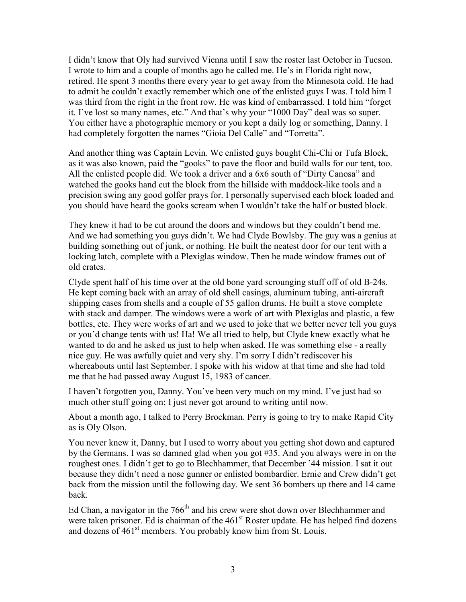I didn't know that Oly had survived Vienna until I saw the roster last October in Tucson. I wrote to him and a couple of months ago he called me. He's in Florida right now, retired. He spent 3 months there every year to get away from the Minnesota cold. He had to admit he couldn't exactly remember which one of the enlisted guys I was. I told him I was third from the right in the front row. He was kind of embarrassed. I told him "forget it. I've lost so many names, etc." And that's why your "1000 Day" deal was so super. You either have a photographic memory or you kept a daily log or something, Danny. I had completely forgotten the names "Gioia Del Calle" and "Torretta".

And another thing was Captain Levin. We enlisted guys bought Chi-Chi or Tufa Block, as it was also known, paid the "gooks" to pave the floor and build walls for our tent, too. All the enlisted people did. We took a driver and a 6x6 south of "Dirty Canosa" and watched the gooks hand cut the block from the hillside with maddock-like tools and a precision swing any good golfer prays for. I personally supervised each block loaded and you should have heard the gooks scream when I wouldn't take the half or busted block.

They knew it had to be cut around the doors and windows but they couldn't bend me. And we had something you guys didn't. We had Clyde Bowlsby. The guy was a genius at building something out of junk, or nothing. He built the neatest door for our tent with a locking latch, complete with a Plexiglas window. Then he made window frames out of old crates.

Clyde spent half of his time over at the old bone yard scrounging stuff off of old B-24s. He kept coming back with an array of old shell casings, aluminum tubing, anti-aircraft shipping cases from shells and a couple of 55 gallon drums. He built a stove complete with stack and damper. The windows were a work of art with Plexiglas and plastic, a few bottles, etc. They were works of art and we used to joke that we better never tell you guys or you'd change tents with us! Ha! We all tried to help, but Clyde knew exactly what he wanted to do and he asked us just to help when asked. He was something else - a really nice guy. He was awfully quiet and very shy. I'm sorry I didn't rediscover his whereabouts until last September. I spoke with his widow at that time and she had told me that he had passed away August 15, 1983 of cancer.

I haven't forgotten you, Danny. You've been very much on my mind. I've just had so much other stuff going on; I just never got around to writing until now.

About a month ago, I talked to Perry Brockman. Perry is going to try to make Rapid City as is Oly Olson.

You never knew it, Danny, but I used to worry about you getting shot down and captured by the Germans. I was so damned glad when you got #35. And you always were in on the roughest ones. I didn't get to go to Blechhammer, that December '44 mission. I sat it out because they didn't need a nose gunner or enlisted bombardier. Ernie and Crew didn't get back from the mission until the following day. We sent 36 bombers up there and 14 came back.

Ed Chan, a navigator in the  $766<sup>th</sup>$  and his crew were shot down over Blechhammer and were taken prisoner. Ed is chairman of the  $461<sup>st</sup>$  Roster update. He has helped find dozens and dozens of  $461<sup>st</sup>$  members. You probably know him from St. Louis.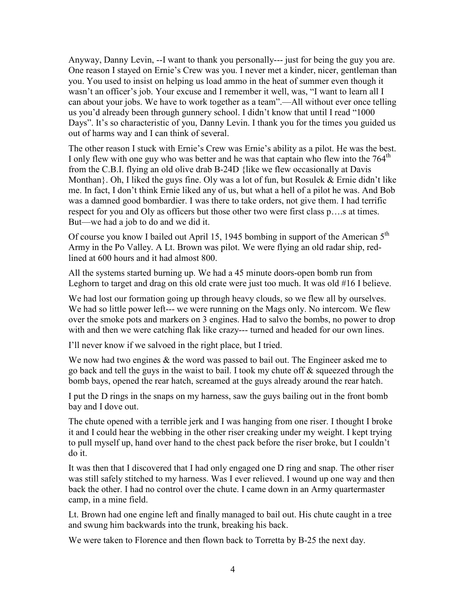Anyway, Danny Levin, --I want to thank you personally--- just for being the guy you are. One reason I stayed on Ernie's Crew was you. I never met a kinder, nicer, gentleman than you. You used to insist on helping us load ammo in the heat of summer even though it wasn't an officer's job. Your excuse and I remember it well, was, "I want to learn all I can about your jobs. We have to work together as a team".—All without ever once telling us you'd already been through gunnery school. I didn't know that until I read "1000 Days". It's so characteristic of you, Danny Levin. I thank you for the times you guided us out of harms way and I can think of several.

The other reason I stuck with Ernie's Crew was Ernie's ability as a pilot. He was the best. I only flew with one guy who was better and he was that captain who flew into the  $764<sup>th</sup>$ from the C.B.I. flying an old olive drab B-24D {like we flew occasionally at Davis Monthan}. Oh, I liked the guys fine. Oly was a lot of fun, but Rosulek & Ernie didn't like me. In fact, I don't think Ernie liked any of us, but what a hell of a pilot he was. And Bob was a damned good bombardier. I was there to take orders, not give them. I had terrific respect for you and Oly as officers but those other two were first class p….s at times. But—we had a job to do and we did it.

Of course you know I bailed out April 15, 1945 bombing in support of the American 5<sup>th</sup> Army in the Po Valley. A Lt. Brown was pilot. We were flying an old radar ship, redlined at 600 hours and it had almost 800.

All the systems started burning up. We had a 45 minute doors-open bomb run from Leghorn to target and drag on this old crate were just too much. It was old #16 I believe.

We had lost our formation going up through heavy clouds, so we flew all by ourselves. We had so little power left--- we were running on the Mags only. No intercom. We flew over the smoke pots and markers on 3 engines. Had to salvo the bombs, no power to drop with and then we were catching flak like crazy--- turned and headed for our own lines.

I'll never know if we salvoed in the right place, but I tried.

We now had two engines  $\&$  the word was passed to bail out. The Engineer asked me to go back and tell the guys in the waist to bail. I took my chute off & squeezed through the bomb bays, opened the rear hatch, screamed at the guys already around the rear hatch.

I put the D rings in the snaps on my harness, saw the guys bailing out in the front bomb bay and I dove out.

The chute opened with a terrible jerk and I was hanging from one riser. I thought I broke it and I could hear the webbing in the other riser creaking under my weight. I kept trying to pull myself up, hand over hand to the chest pack before the riser broke, but I couldn't do it.

It was then that I discovered that I had only engaged one D ring and snap. The other riser was still safely stitched to my harness. Was I ever relieved. I wound up one way and then back the other. I had no control over the chute. I came down in an Army quartermaster camp, in a mine field.

Lt. Brown had one engine left and finally managed to bail out. His chute caught in a tree and swung him backwards into the trunk, breaking his back.

We were taken to Florence and then flown back to Torretta by B-25 the next day.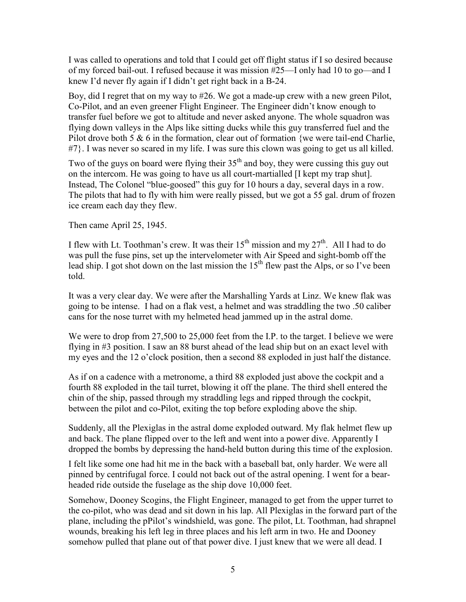I was called to operations and told that I could get off flight status if I so desired because of my forced bail-out. I refused because it was mission #25—I only had 10 to go—and I knew I'd never fly again if I didn't get right back in a B-24.

Boy, did I regret that on my way to #26. We got a made-up crew with a new green Pilot, Co-Pilot, and an even greener Flight Engineer. The Engineer didn't know enough to transfer fuel before we got to altitude and never asked anyone. The whole squadron was flying down valleys in the Alps like sitting ducks while this guy transferred fuel and the Pilot drove both 5 & 6 in the formation, clear out of formation {we were tail-end Charlie, #7}. I was never so scared in my life. I was sure this clown was going to get us all killed.

Two of the guys on board were flying their  $35<sup>th</sup>$  and boy, they were cussing this guy out on the intercom. He was going to have us all court-martialled [I kept my trap shut]. Instead, The Colonel "blue-goosed" this guy for 10 hours a day, several days in a row. The pilots that had to fly with him were really pissed, but we got a 55 gal. drum of frozen ice cream each day they flew.

Then came April 25, 1945.

I flew with Lt. Toothman's crew. It was their  $15^{th}$  mission and my  $27^{th}$ . All I had to do was pull the fuse pins, set up the intervelometer with Air Speed and sight-bomb off the lead ship. I got shot down on the last mission the  $15<sup>th</sup>$  flew past the Alps, or so I've been told.

It was a very clear day. We were after the Marshalling Yards at Linz. We knew flak was going to be intense. I had on a flak vest, a helmet and was straddling the two .50 caliber cans for the nose turret with my helmeted head jammed up in the astral dome.

We were to drop from 27,500 to 25,000 feet from the I.P. to the target. I believe we were flying in #3 position. I saw an 88 burst ahead of the lead ship but on an exact level with my eyes and the 12 o'clock position, then a second 88 exploded in just half the distance.

As if on a cadence with a metronome, a third 88 exploded just above the cockpit and a fourth 88 exploded in the tail turret, blowing it off the plane. The third shell entered the chin of the ship, passed through my straddling legs and ripped through the cockpit, between the pilot and co-Pilot, exiting the top before exploding above the ship.

Suddenly, all the Plexiglas in the astral dome exploded outward. My flak helmet flew up and back. The plane flipped over to the left and went into a power dive. Apparently I dropped the bombs by depressing the hand-held button during this time of the explosion.

I felt like some one had hit me in the back with a baseball bat, only harder. We were all pinned by centrifugal force. I could not back out of the astral opening. I went for a bearheaded ride outside the fuselage as the ship dove 10,000 feet.

Somehow, Dooney Scogins, the Flight Engineer, managed to get from the upper turret to the co-pilot, who was dead and sit down in his lap. All Plexiglas in the forward part of the plane, including the pPilot's windshield, was gone. The pilot, Lt. Toothman, had shrapnel wounds, breaking his left leg in three places and his left arm in two. He and Dooney somehow pulled that plane out of that power dive. I just knew that we were all dead. I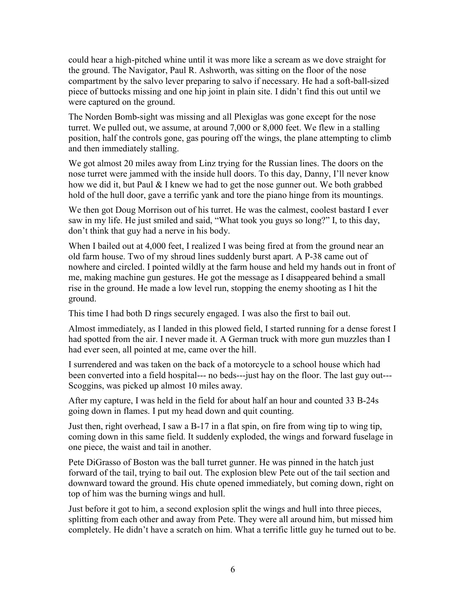could hear a high-pitched whine until it was more like a scream as we dove straight for the ground. The Navigator, Paul R. Ashworth, was sitting on the floor of the nose compartment by the salvo lever preparing to salvo if necessary. He had a soft-ball-sized piece of buttocks missing and one hip joint in plain site. I didn't find this out until we were captured on the ground.

The Norden Bomb-sight was missing and all Plexiglas was gone except for the nose turret. We pulled out, we assume, at around 7,000 or 8,000 feet. We flew in a stalling position, half the controls gone, gas pouring off the wings, the plane attempting to climb and then immediately stalling.

We got almost 20 miles away from Linz trying for the Russian lines. The doors on the nose turret were jammed with the inside hull doors. To this day, Danny, I'll never know how we did it, but Paul & I knew we had to get the nose gunner out. We both grabbed hold of the hull door, gave a terrific yank and tore the piano hinge from its mountings.

We then got Doug Morrison out of his turret. He was the calmest, coolest bastard I ever saw in my life. He just smiled and said, "What took you guys so long?" I, to this day, don't think that guy had a nerve in his body.

When I bailed out at 4,000 feet, I realized I was being fired at from the ground near an old farm house. Two of my shroud lines suddenly burst apart. A P-38 came out of nowhere and circled. I pointed wildly at the farm house and held my hands out in front of me, making machine gun gestures. He got the message as I disappeared behind a small rise in the ground. He made a low level run, stopping the enemy shooting as I hit the ground.

This time I had both D rings securely engaged. I was also the first to bail out.

Almost immediately, as I landed in this plowed field, I started running for a dense forest I had spotted from the air. I never made it. A German truck with more gun muzzles than I had ever seen, all pointed at me, came over the hill.

I surrendered and was taken on the back of a motorcycle to a school house which had been converted into a field hospital--- no beds---just hay on the floor. The last guy out--- Scoggins, was picked up almost 10 miles away.

After my capture, I was held in the field for about half an hour and counted 33 B-24s going down in flames. I put my head down and quit counting.

Just then, right overhead, I saw a B-17 in a flat spin, on fire from wing tip to wing tip, coming down in this same field. It suddenly exploded, the wings and forward fuselage in one piece, the waist and tail in another.

Pete DiGrasso of Boston was the ball turret gunner. He was pinned in the hatch just forward of the tail, trying to bail out. The explosion blew Pete out of the tail section and downward toward the ground. His chute opened immediately, but coming down, right on top of him was the burning wings and hull.

Just before it got to him, a second explosion split the wings and hull into three pieces, splitting from each other and away from Pete. They were all around him, but missed him completely. He didn't have a scratch on him. What a terrific little guy he turned out to be.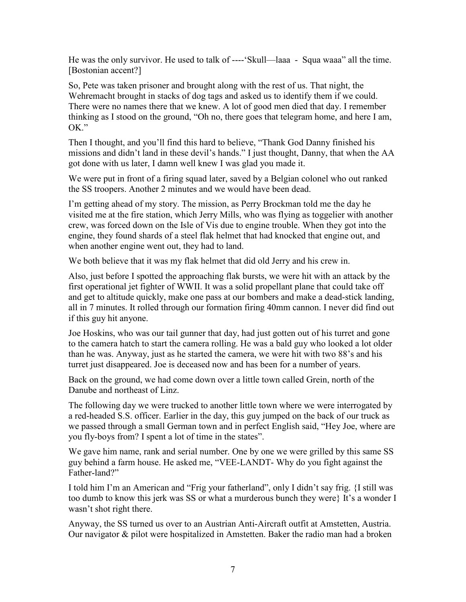He was the only survivor. He used to talk of ----'Skull—laaa - Squa waaa" all the time. [Bostonian accent?]

So, Pete was taken prisoner and brought along with the rest of us. That night, the Wehremacht brought in stacks of dog tags and asked us to identify them if we could. There were no names there that we knew. A lot of good men died that day. I remember thinking as I stood on the ground, "Oh no, there goes that telegram home, and here I am,  $OK$ "

Then I thought, and you'll find this hard to believe, "Thank God Danny finished his missions and didn't land in these devil's hands." I just thought, Danny, that when the AA got done with us later, I damn well knew I was glad you made it.

We were put in front of a firing squad later, saved by a Belgian colonel who out ranked the SS troopers. Another 2 minutes and we would have been dead.

I'm getting ahead of my story. The mission, as Perry Brockman told me the day he visited me at the fire station, which Jerry Mills, who was flying as toggelier with another crew, was forced down on the Isle of Vis due to engine trouble. When they got into the engine, they found shards of a steel flak helmet that had knocked that engine out, and when another engine went out, they had to land.

We both believe that it was my flak helmet that did old Jerry and his crew in.

Also, just before I spotted the approaching flak bursts, we were hit with an attack by the first operational jet fighter of WWII. It was a solid propellant plane that could take off and get to altitude quickly, make one pass at our bombers and make a dead-stick landing, all in 7 minutes. It rolled through our formation firing 40mm cannon. I never did find out if this guy hit anyone.

Joe Hoskins, who was our tail gunner that day, had just gotten out of his turret and gone to the camera hatch to start the camera rolling. He was a bald guy who looked a lot older than he was. Anyway, just as he started the camera, we were hit with two 88's and his turret just disappeared. Joe is deceased now and has been for a number of years.

Back on the ground, we had come down over a little town called Grein, north of the Danube and northeast of Linz.

The following day we were trucked to another little town where we were interrogated by a red-headed S.S. officer. Earlier in the day, this guy jumped on the back of our truck as we passed through a small German town and in perfect English said, "Hey Joe, where are you fly-boys from? I spent a lot of time in the states".

We gave him name, rank and serial number. One by one we were grilled by this same SS guy behind a farm house. He asked me, "VEE-LANDT- Why do you fight against the Father-land?"

I told him I'm an American and "Frig your fatherland", only I didn't say frig. {I still was too dumb to know this jerk was SS or what a murderous bunch they were} It's a wonder I wasn't shot right there.

Anyway, the SS turned us over to an Austrian Anti-Aircraft outfit at Amstetten, Austria. Our navigator & pilot were hospitalized in Amstetten. Baker the radio man had a broken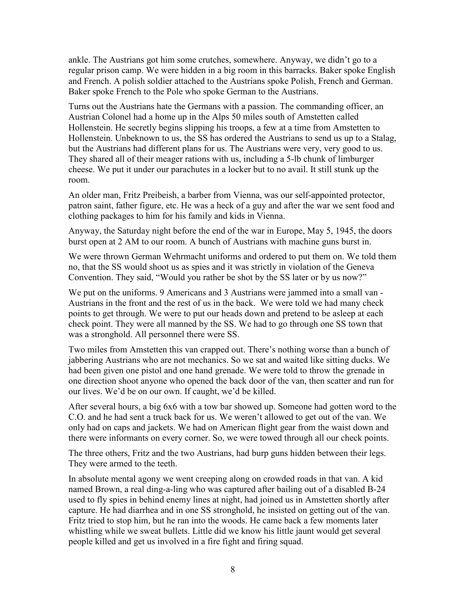ankle. The Austrians got him some crutches, somewhere. Anyway, we didn't go to a regular prison camp. We were hidden in a big room in this barracks. Baker spoke English and French. A polish soldier attached to the Austrians spoke Polish, French and German. Baker spoke French to the Pole who spoke German to the Austrians.

Turns out the Austrians hate the Germans with a passion. The commanding officer, an Austrian Colonel had a home up in the Alps 50 miles south of Amstetten called Hollenstein. He secretly begins slipping his troops, a few at a time from Amstetten to Hollenstein. Unbeknown to us, the SS has ordered the Austrians to send us up to a Stalag, but the Austrians had different plans for us. The Austrians were very, very good to us. They shared all of their meager rations with us, including a 5-lb chunk of limburger cheese. We put it under our parachutes in a locker but to no avail. It still stunk up the room.

An older man, Fritz Preibeish, a barber from Vienna, was our self-appointed protector, patron saint, father figure, etc. He was a heck of a guy and after the war we sent food and clothing packages to him for his family and kids in Vienna.

Anyway, the Saturday night before the end of the war in Europe, May 5, 1945, the doors burst open at 2 AM to our room. A bunch of Austrians with machine guns burst in.

We were thrown German Wehrmacht uniforms and ordered to put them on. We told them no, that the SS would shoot us as spies and it was strictly in violation of the Geneva Convention. They said, "Would you rather be shot by the SS later or by us now?"

We put on the uniforms. 9 Americans and 3 Austrians were jammed into a small van - Austrians in the front and the rest of us in the back. We were told we had many check points to get through. We were to put our heads down and pretend to be asleep at each check point. They were all manned by the SS. We had to go through one SS town that was a stronghold. All personnel there were SS.

Two miles from Amstetten this van crapped out. There's nothing worse than a bunch of jabbering Austrians who are not mechanics. So we sat and waited like sitting ducks. We had been given one pistol and one hand grenade. We were told to throw the grenade in one direction shoot anyone who opened the back door of the van, then scatter and run for our lives. We'd be on our own. If caught, we'd be killed.

After several hours, a big 6x6 with a tow bar showed up. Someone had gotten word to the C.O. and he had sent a truck back for us. We weren't allowed to get out of the van. We only had on caps and jackets. We had on American flight gear from the waist down and there were informants on every corner. So, we were towed through all our check points.

The three others, Fritz and the two Austrians, had burp guns hidden between their legs. They were armed to the teeth.

In absolute mental agony we went creeping along on crowded roads in that van. A kid named Brown, a real ding-a-ling who was captured after bailing out of a disabled B-24 used to fly spies in behind enemy lines at night, had joined us in Amstetten shortly after capture. He had diarrhea and in one SS stronghold, he insisted on getting out of the van. Fritz tried to stop him, but he ran into the woods. He came back a few moments later whistling while we sweat bullets. Little did we know his little jaunt would get several people killed and get us involved in a fire fight and firing squad.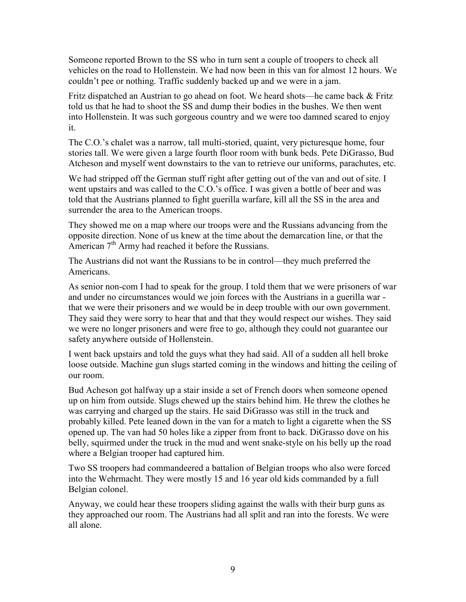Someone reported Brown to the SS who in turn sent a couple of troopers to check all vehicles on the road to Hollenstein. We had now been in this van for almost 12 hours. We couldn't pee or nothing. Traffic suddenly backed up and we were in a jam.

Fritz dispatched an Austrian to go ahead on foot. We heard shots—he came back & Fritz told us that he had to shoot the SS and dump their bodies in the bushes. We then went into Hollenstein. It was such gorgeous country and we were too damned scared to enjoy it.

The C.O.'s chalet was a narrow, tall multi-storied, quaint, very picturesque home, four stories tall. We were given a large fourth floor room with bunk beds. Pete DiGrasso, Bud Atcheson and myself went downstairs to the van to retrieve our uniforms, parachutes, etc.

We had stripped off the German stuff right after getting out of the van and out of site. I went upstairs and was called to the C.O.'s office. I was given a bottle of beer and was told that the Austrians planned to fight guerilla warfare, kill all the SS in the area and surrender the area to the American troops.

They showed me on a map where our troops were and the Russians advancing from the opposite direction. None of us knew at the time about the demarcation line, or that the American  $7<sup>th</sup>$  Army had reached it before the Russians.

The Austrians did not want the Russians to be in control—they much preferred the Americans.

As senior non-com I had to speak for the group. I told them that we were prisoners of war and under no circumstances would we join forces with the Austrians in a guerilla war that we were their prisoners and we would be in deep trouble with our own government. They said they were sorry to hear that and that they would respect our wishes. They said we were no longer prisoners and were free to go, although they could not guarantee our safety anywhere outside of Hollenstein.

I went back upstairs and told the guys what they had said. All of a sudden all hell broke loose outside. Machine gun slugs started coming in the windows and hitting the ceiling of our room.

Bud Acheson got halfway up a stair inside a set of French doors when someone opened up on him from outside. Slugs chewed up the stairs behind him. He threw the clothes he was carrying and charged up the stairs. He said DiGrasso was still in the truck and probably killed. Pete leaned down in the van for a match to light a cigarette when the SS opened up. The van had 50 holes like a zipper from front to back. DiGrasso dove on his belly, squirmed under the truck in the mud and went snake-style on his belly up the road where a Belgian trooper had captured him.

Two SS troopers had commandeered a battalion of Belgian troops who also were forced into the Wehrmacht. They were mostly 15 and 16 year old kids commanded by a full Belgian colonel.

Anyway, we could hear these troopers sliding against the walls with their burp guns as they approached our room. The Austrians had all split and ran into the forests. We were all alone.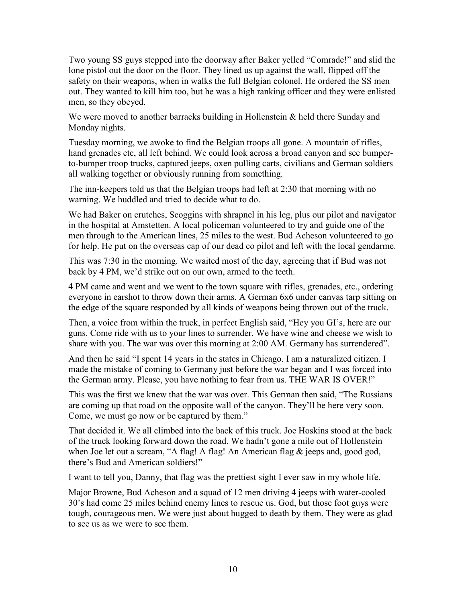Two young SS guys stepped into the doorway after Baker yelled "Comrade!" and slid the lone pistol out the door on the floor. They lined us up against the wall, flipped off the safety on their weapons, when in walks the full Belgian colonel. He ordered the SS men out. They wanted to kill him too, but he was a high ranking officer and they were enlisted men, so they obeyed.

We were moved to another barracks building in Hollenstein & held there Sunday and Monday nights.

Tuesday morning, we awoke to find the Belgian troops all gone. A mountain of rifles, hand grenades etc, all left behind. We could look across a broad canyon and see bumperto-bumper troop trucks, captured jeeps, oxen pulling carts, civilians and German soldiers all walking together or obviously running from something.

The inn-keepers told us that the Belgian troops had left at 2:30 that morning with no warning. We huddled and tried to decide what to do.

We had Baker on crutches, Scoggins with shrapnel in his leg, plus our pilot and navigator in the hospital at Amstetten. A local policeman volunteered to try and guide one of the men through to the American lines, 25 miles to the west. Bud Acheson volunteered to go for help. He put on the overseas cap of our dead co pilot and left with the local gendarme.

This was 7:30 in the morning. We waited most of the day, agreeing that if Bud was not back by 4 PM, we'd strike out on our own, armed to the teeth.

4 PM came and went and we went to the town square with rifles, grenades, etc., ordering everyone in earshot to throw down their arms. A German 6x6 under canvas tarp sitting on the edge of the square responded by all kinds of weapons being thrown out of the truck.

Then, a voice from within the truck, in perfect English said, "Hey you GI's, here are our guns. Come ride with us to your lines to surrender. We have wine and cheese we wish to share with you. The war was over this morning at 2:00 AM. Germany has surrendered".

And then he said "I spent 14 years in the states in Chicago. I am a naturalized citizen. I made the mistake of coming to Germany just before the war began and I was forced into the German army. Please, you have nothing to fear from us. THE WAR IS OVER!"

This was the first we knew that the war was over. This German then said, "The Russians are coming up that road on the opposite wall of the canyon. They'll be here very soon. Come, we must go now or be captured by them."

That decided it. We all climbed into the back of this truck. Joe Hoskins stood at the back of the truck looking forward down the road. We hadn't gone a mile out of Hollenstein when Joe let out a scream, "A flag! A flag! An American flag & jeeps and, good god, there's Bud and American soldiers!"

I want to tell you, Danny, that flag was the prettiest sight I ever saw in my whole life.

Major Browne, Bud Acheson and a squad of 12 men driving 4 jeeps with water-cooled 30's had come 25 miles behind enemy lines to rescue us. God, but those foot guys were tough, courageous men. We were just about hugged to death by them. They were as glad to see us as we were to see them.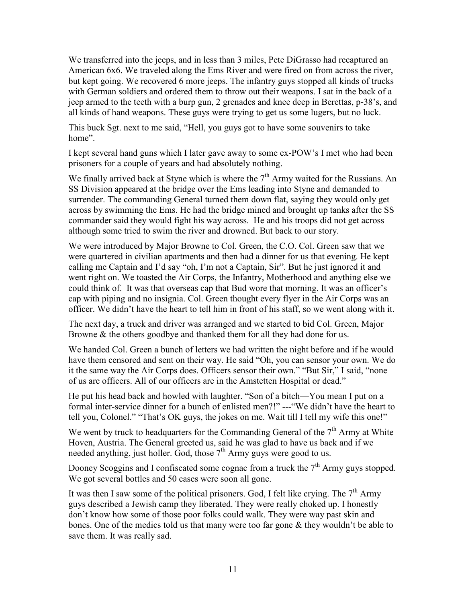We transferred into the jeeps, and in less than 3 miles, Pete DiGrasso had recaptured an American 6x6. We traveled along the Ems River and were fired on from across the river, but kept going. We recovered 6 more jeeps. The infantry guys stopped all kinds of trucks with German soldiers and ordered them to throw out their weapons. I sat in the back of a jeep armed to the teeth with a burp gun, 2 grenades and knee deep in Berettas, p-38's, and all kinds of hand weapons. These guys were trying to get us some lugers, but no luck.

This buck Sgt. next to me said, "Hell, you guys got to have some souvenirs to take home".

I kept several hand guns which I later gave away to some ex-POW's I met who had been prisoners for a couple of years and had absolutely nothing.

We finally arrived back at Styne which is where the  $7<sup>th</sup>$  Army waited for the Russians. An SS Division appeared at the bridge over the Ems leading into Styne and demanded to surrender. The commanding General turned them down flat, saying they would only get across by swimming the Ems. He had the bridge mined and brought up tanks after the SS commander said they would fight his way across. He and his troops did not get across although some tried to swim the river and drowned. But back to our story.

We were introduced by Major Browne to Col. Green, the C.O. Col. Green saw that we were quartered in civilian apartments and then had a dinner for us that evening. He kept calling me Captain and I'd say "oh, I'm not a Captain, Sir". But he just ignored it and went right on. We toasted the Air Corps, the Infantry, Motherhood and anything else we could think of. It was that overseas cap that Bud wore that morning. It was an officer's cap with piping and no insignia. Col. Green thought every flyer in the Air Corps was an officer. We didn't have the heart to tell him in front of his staff, so we went along with it.

The next day, a truck and driver was arranged and we started to bid Col. Green, Major Browne & the others goodbye and thanked them for all they had done for us.

We handed Col. Green a bunch of letters we had written the night before and if he would have them censored and sent on their way. He said "Oh, you can sensor your own. We do it the same way the Air Corps does. Officers sensor their own." "But Sir," I said, "none of us are officers. All of our officers are in the Amstetten Hospital or dead."

He put his head back and howled with laughter. "Son of a bitch—You mean I put on a formal inter-service dinner for a bunch of enlisted men?!" ---"We didn't have the heart to tell you, Colonel." "That's OK guys, the jokes on me. Wait till I tell my wife this one!"

We went by truck to headquarters for the Commanding General of the  $7<sup>th</sup>$  Army at White Hoven, Austria. The General greeted us, said he was glad to have us back and if we needed anything, just holler. God, those  $7<sup>th</sup>$  Army guys were good to us.

Dooney Scoggins and I confiscated some cognac from a truck the  $7<sup>th</sup>$  Army guys stopped. We got several bottles and 50 cases were soon all gone.

It was then I saw some of the political prisoners. God, I felt like crying. The  $7<sup>th</sup>$  Army guys described a Jewish camp they liberated. They were really choked up. I honestly don't know how some of those poor folks could walk. They were way past skin and bones. One of the medics told us that many were too far gone & they wouldn't be able to save them. It was really sad.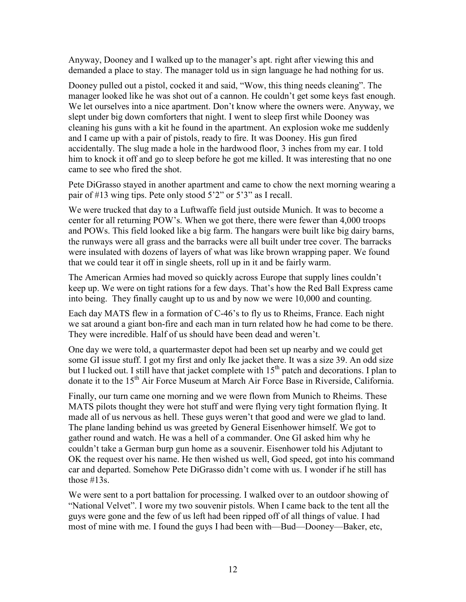Anyway, Dooney and I walked up to the manager's apt. right after viewing this and demanded a place to stay. The manager told us in sign language he had nothing for us.

Dooney pulled out a pistol, cocked it and said, "Wow, this thing needs cleaning". The manager looked like he was shot out of a cannon. He couldn't get some keys fast enough. We let ourselves into a nice apartment. Don't know where the owners were. Anyway, we slept under big down comforters that night. I went to sleep first while Dooney was cleaning his guns with a kit he found in the apartment. An explosion woke me suddenly and I came up with a pair of pistols, ready to fire. It was Dooney. His gun fired accidentally. The slug made a hole in the hardwood floor, 3 inches from my ear. I told him to knock it off and go to sleep before he got me killed. It was interesting that no one came to see who fired the shot.

Pete DiGrasso stayed in another apartment and came to chow the next morning wearing a pair of #13 wing tips. Pete only stood 5'2" or 5'3" as I recall.

We were trucked that day to a Luftwaffe field just outside Munich. It was to become a center for all returning POW's. When we got there, there were fewer than 4,000 troops and POWs. This field looked like a big farm. The hangars were built like big dairy barns, the runways were all grass and the barracks were all built under tree cover. The barracks were insulated with dozens of layers of what was like brown wrapping paper. We found that we could tear it off in single sheets, roll up in it and be fairly warm.

The American Armies had moved so quickly across Europe that supply lines couldn't keep up. We were on tight rations for a few days. That's how the Red Ball Express came into being. They finally caught up to us and by now we were 10,000 and counting.

Each day MATS flew in a formation of C-46's to fly us to Rheims, France. Each night we sat around a giant bon-fire and each man in turn related how he had come to be there. They were incredible. Half of us should have been dead and weren't.

One day we were told, a quartermaster depot had been set up nearby and we could get some GI issue stuff. I got my first and only Ike jacket there. It was a size 39. An odd size but I lucked out. I still have that jacket complete with  $15<sup>th</sup>$  patch and decorations. I plan to donate it to the 15<sup>th</sup> Air Force Museum at March Air Force Base in Riverside, California.

Finally, our turn came one morning and we were flown from Munich to Rheims. These MATS pilots thought they were hot stuff and were flying very tight formation flying. It made all of us nervous as hell. These guys weren't that good and were we glad to land. The plane landing behind us was greeted by General Eisenhower himself. We got to gather round and watch. He was a hell of a commander. One GI asked him why he couldn't take a German burp gun home as a souvenir. Eisenhower told his Adjutant to OK the request over his name. He then wished us well, God speed, got into his command car and departed. Somehow Pete DiGrasso didn't come with us. I wonder if he still has those #13s.

We were sent to a port battalion for processing. I walked over to an outdoor showing of "National Velvet". I wore my two souvenir pistols. When I came back to the tent all the guys were gone and the few of us left had been ripped off of all things of value. I had most of mine with me. I found the guys I had been with—Bud—Dooney—Baker, etc,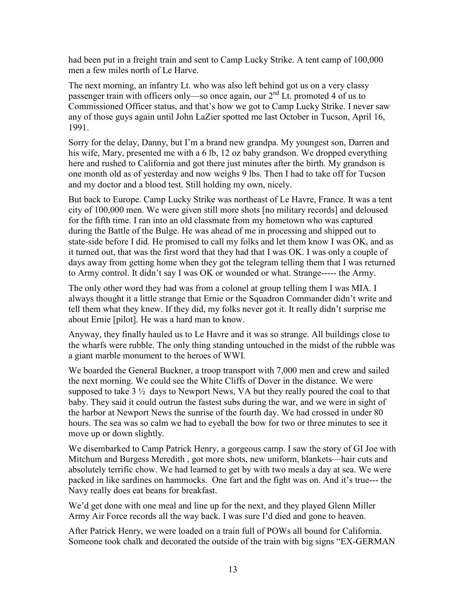had been put in a freight train and sent to Camp Lucky Strike. A tent camp of 100,000 men a few miles north of Le Harve.

The next morning, an infantry Lt. who was also left behind got us on a very classy passenger train with officers only—so once again, our 2<sup>nd</sup> Lt. promoted 4 of us to Commissioned Officer status, and that's how we got to Camp Lucky Strike. I never saw any of those guys again until John LaZier spotted me last October in Tucson, April 16, 1991.

Sorry for the delay, Danny, but I'm a brand new grandpa. My youngest son, Darren and his wife, Mary, presented me with a 6 lb, 12 oz baby grandson. We dropped everything here and rushed to California and got there just minutes after the birth. My grandson is one month old as of yesterday and now weighs 9 lbs. Then I had to take off for Tucson and my doctor and a blood test. Still holding my own, nicely.

But back to Europe. Camp Lucky Strike was northeast of Le Havre, France. It was a tent city of 100,000 men. We were given still more shots [no military records] and deloused for the fifth time. I ran into an old classmate from my hometown who was captured during the Battle of the Bulge. He was ahead of me in processing and shipped out to state-side before I did. He promised to call my folks and let them know I was OK, and as it turned out, that was the first word that they had that I was OK. I was only a couple of days away from getting home when they got the telegram telling them that I was returned to Army control. It didn't say I was OK or wounded or what. Strange----- the Army.

The only other word they had was from a colonel at group telling them I was MIA. I always thought it a little strange that Ernie or the Squadron Commander didn't write and tell them what they knew. If they did, my folks never got it. It really didn't surprise me about Ernie [pilot]. He was a hard man to know.

Anyway, they finally hauled us to Le Havre and it was so strange. All buildings close to the wharfs were rubble. The only thing standing untouched in the midst of the rubble was a giant marble monument to the heroes of WWI.

We boarded the General Buckner, a troop transport with 7,000 men and crew and sailed the next morning. We could see the White Cliffs of Dover in the distance. We were supposed to take  $3\frac{1}{2}$  days to Newport News, VA but they really poured the coal to that baby. They said it could outrun the fastest subs during the war, and we were in sight of the harbor at Newport News the sunrise of the fourth day. We had crossed in under 80 hours. The sea was so calm we had to eyeball the bow for two or three minutes to see it move up or down slightly.

We disembarked to Camp Patrick Henry, a gorgeous camp. I saw the story of GI Joe with Mitchum and Burgess Meredith , got more shots, new uniform, blankets—hair cuts and absolutely terrific chow. We had learned to get by with two meals a day at sea. We were packed in like sardines on hammocks. One fart and the fight was on. And it's true--- the Navy really does eat beans for breakfast.

We'd get done with one meal and line up for the next, and they played Glenn Miller Army Air Force records all the way back. I was sure I'd died and gone to heaven.

After Patrick Henry, we were loaded on a train full of POWs all bound for California. Someone took chalk and decorated the outside of the train with big signs "EX-GERMAN